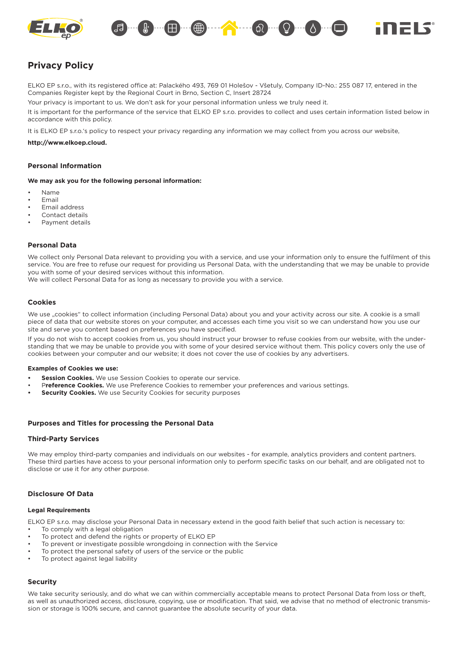



# **Privacy Policy**

ELKO EP s.r.o., with its registered office at: Palackého 493, 769 01 Holešov - Všetuly, Company ID-No.: 255 087 17, entered in the Companies Register kept by the Regional Court in Brno, Section C, Insert 28724

Your privacy is important to us. We don't ask for your personal information unless we truly need it.

It is important for the performance of the service that ELKO EP s.r.o. provides to collect and uses certain information listed below in accordance with this policy.

It is ELKO EP s.r.o.'s policy to respect your privacy regarding any information we may collect from you across our website,

### **http://www.elkoep.cloud.**

### **Personal Information**

**We may ask you for the following personal information:**

- Name
- Email
- Email address
- Contact details
- Payment details

### **Personal Data**

We collect only Personal Data relevant to providing you with a service, and use your information only to ensure the fulfilment of this service. You are free to refuse our request for providing us Personal Data, with the understanding that we may be unable to provide you with some of your desired services without this information.

We will collect Personal Data for as long as necessary to provide you with a service.

## **Cookies**

We use "cookies" to collect information (including Personal Data) about you and your activity across our site. A cookie is a small piece of data that our website stores on your computer, and accesses each time you visit so we can understand how you use our site and serve you content based on preferences you have specified.

If you do not wish to accept cookies from us, you should instruct your browser to refuse cookies from our website, with the understanding that we may be unable to provide you with some of your desired service without them. This policy covers only the use of cookies between your computer and our website; it does not cover the use of cookies by any advertisers.

### **Examples of Cookies we use:**

- **Session Cookies.** We use Session Cookies to operate our service.
- P**reference Cookies.** We use Preference Cookies to remember your preferences and various settings.
- **Security Cookies.** We use Security Cookies for security purposes

### **Purposes and Titles for processing the Personal Data**

### **Third-Party Services**

We may employ third-party companies and individuals on our websites - for example, analytics providers and content partners. These third parties have access to your personal information only to perform specific tasks on our behalf, and are obligated not to disclose or use it for any other purpose.

# **Disclosure Of Data**

### **Legal Requirements**

ELKO EP s.r.o. may disclose your Personal Data in necessary extend in the good faith belief that such action is necessary to:

- To comply with a legal obligation
- To protect and defend the rights or property of ELKO EP
- To prevent or investigate possible wrongdoing in connection with the Service
- To protect the personal safety of users of the service or the public
- To protect against legal liability

## **Security**

We take security seriously, and do what we can within commercially acceptable means to protect Personal Data from loss or theft, as well as unauthorized access, disclosure, copying, use or modification. That said, we advise that no method of electronic transmission or storage is 100% secure, and cannot guarantee the absolute security of your data.